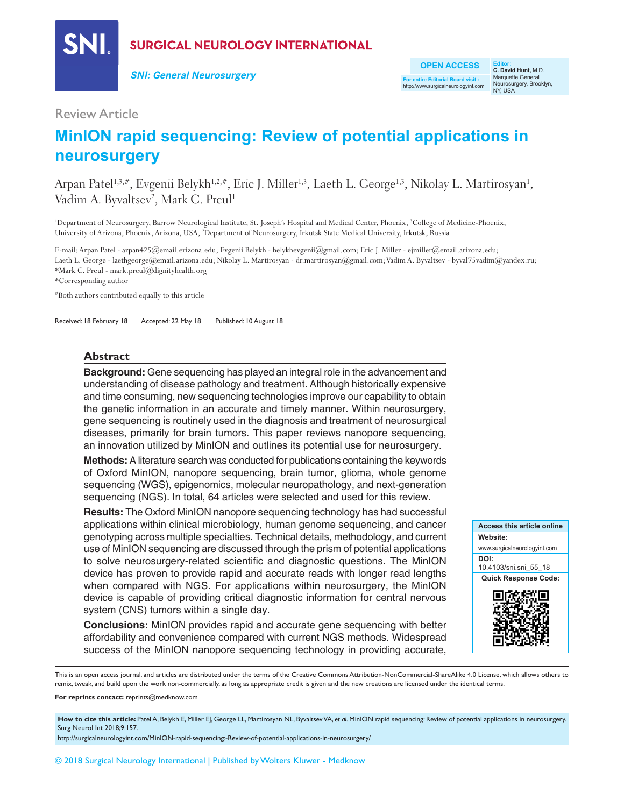

**SURGICAL NEUROLOGY INTERNATIONAL** 

**SNI: General Neurosurgery**

**OPEN ACCESS**

**For entire Editorial Board visit :** http://www.surgicalneurologyint.com

**Editor: C. David Hunt,** M.D. Marquette General Neurosurgery, Brooklyn, NY, USA

# Review Article

# **MinION rapid sequencing: Review of potential applications in neurosurgery**

Arpan Patel1,3,#, Evgenii Belykh1,2,#, Eric J. Miller<sup>1,3</sup>, Laeth L. George<sup>1,3</sup>, Nikolay L. Martirosyan<sup>1</sup>, Vadim A. Byvaltsev<sup>2</sup>, Mark C. Preul<sup>1</sup>

<sup>1</sup>Department of Neurosurgery, Barrow Neurological Institute, St. Joseph's Hospital and Medical Center, Phoenix, <sup>3</sup>College of Medicine-Phoenix, University of Arizona, Phoenix, Arizona, USA, 2 Department of Neurosurgery, Irkutsk State Medical University, Irkutsk, Russia

E-mail: Arpan Patel - arpan425@email.erizona.edu; Evgenii Belykh - belykhevgenii@gmail.com; Eric J. Miller - ejmiller@email.arizona.edu; Laeth L. George - laethgeorge@email.arizona.edu; Nikolay L. Martirosyan - dr.martirosyan@gmail.com; Vadim A. Byvaltsev - byval75vadim@yandex.ru; \*Mark C. Preul ‑ mark.preul@dignityhealth.org

\*Corresponding author

#Both authors contributed equally to this article

Received: 18 February 18 Accepted: 22 May 18 Published: 10 August 18

### **Abstract**

**Background:** Gene sequencing has played an integral role in the advancement and understanding of disease pathology and treatment. Although historically expensive and time consuming, new sequencing technologies improve our capability to obtain the genetic information in an accurate and timely manner. Within neurosurgery, gene sequencing is routinely used in the diagnosis and treatment of neurosurgical diseases, primarily for brain tumors. This paper reviews nanopore sequencing, an innovation utilized by MinION and outlines its potential use for neurosurgery.

**Methods:** A literature search was conducted for publications containing the keywords of Oxford MinION, nanopore sequencing, brain tumor, glioma, whole genome sequencing (WGS), epigenomics, molecular neuropathology, and next-generation sequencing (NGS). In total, 64 articles were selected and used for this review.

**Results:** The Oxford MinION nanopore sequencing technology has had successful applications within clinical microbiology, human genome sequencing, and cancer genotyping across multiple specialties. Technical details, methodology, and current use of MinION sequencing are discussed through the prism of potential applications to solve neurosurgery‑related scientific and diagnostic questions. The MinION device has proven to provide rapid and accurate reads with longer read lengths when compared with NGS. For applications within neurosurgery, the MinION device is capable of providing critical diagnostic information for central nervous system (CNS) tumors within a single day.

**Conclusions:** MinION provides rapid and accurate gene sequencing with better affordability and convenience compared with current NGS methods. Widespread success of the MinION nanopore sequencing technology in providing accurate,



This is an open access journal, and articles are distributed under the terms of the Creative Commons Attribution-NonCommercial-ShareAlike 4.0 License, which allows others to remix, tweak, and build upon the work non-commercially, as long as appropriate credit is given and the new creations are licensed under the identical terms.

**For reprints contact:** reprints@medknow.com

How to cite this article: Patel A, Belykh E, Miller EJ, George LL, Martirosyan NL, Byvaltsev VA, et al. MinION rapid sequencing: Review of potential applications in neurosurgery. Surg Neurol Int 2018;9:157.

http://surgicalneurologyint.com/MinION-rapid-sequencing:-Review-of-potential-applications-in-neurosurgery/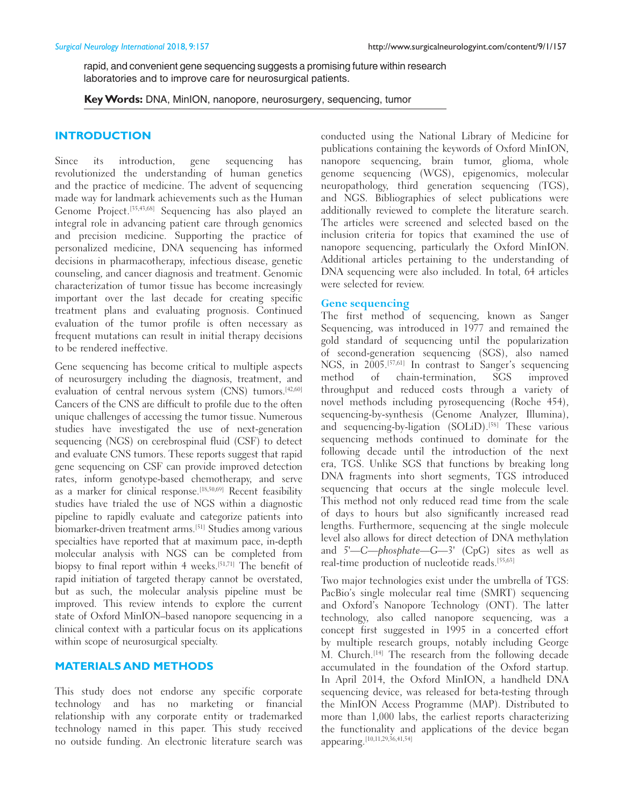rapid, and convenient gene sequencing suggests a promising future within research laboratories and to improve care for neurosurgical patients.

**Key Words:** DNA, MinION, nanopore, neurosurgery, sequencing, tumor

# **INTRODUCTION**

Since its introduction, gene sequencing has revolutionized the understanding of human genetics and the practice of medicine. The advent of sequencing made way for landmark achievements such as the Human Genome Project.[35,43,68] Sequencing has also played an integral role in advancing patient care through genomics and precision medicine. Supporting the practice of personalized medicine, DNA sequencing has informed decisions in pharmacotherapy, infectious disease, genetic counseling, and cancer diagnosis and treatment. Genomic characterization of tumor tissue has become increasingly important over the last decade for creating specific treatment plans and evaluating prognosis. Continued evaluation of the tumor profile is often necessary as frequent mutations can result in initial therapy decisions to be rendered ineffective.

Gene sequencing has become critical to multiple aspects of neurosurgery including the diagnosis, treatment, and evaluation of central nervous system (CNS) tumors.<sup>[42,60]</sup> Cancers of the CNS are difficult to profile due to the often unique challenges of accessing the tumor tissue. Numerous studies have investigated the use of next-generation sequencing (NGS) on cerebrospinal fluid (CSF) to detect and evaluate CNS tumors. These reports suggest that rapid gene sequencing on CSF can provide improved detection rates, inform genotype-based chemotherapy, and serve as a marker for clinical response.[18,50,69] Recent feasibility studies have trialed the use of NGS within a diagnostic pipeline to rapidly evaluate and categorize patients into biomarker-driven treatment arms.<sup>[51]</sup> Studies among various specialties have reported that at maximum pace, in-depth molecular analysis with NGS can be completed from biopsy to final report within 4 weeks.<sup>[51,71]</sup> The benefit of rapid initiation of targeted therapy cannot be overstated, but as such, the molecular analysis pipeline must be improved. This review intends to explore the current state of Oxford MinION–based nanopore sequencing in a clinical context with a particular focus on its applications within scope of neurosurgical specialty.

# **MATERIALS AND METHODS**

This study does not endorse any specific corporate technology and has no marketing or financial relationship with any corporate entity or trademarked technology named in this paper. This study received no outside funding. An electronic literature search was

conducted using the National Library of Medicine for publications containing the keywords of Oxford MinION, nanopore sequencing, brain tumor, glioma, whole genome sequencing (WGS), epigenomics, molecular neuropathology, third generation sequencing (TGS), and NGS. Bibliographies of select publications were additionally reviewed to complete the literature search. The articles were screened and selected based on the inclusion criteria for topics that examined the use of nanopore sequencing, particularly the Oxford MinION. Additional articles pertaining to the understanding of DNA sequencing were also included. In total, 64 articles were selected for review.

# **Gene sequencing**

The first method of sequencing, known as Sanger Sequencing, was introduced in 1977 and remained the gold standard of sequencing until the popularization of second‑generation sequencing (SGS), also named NGS, in 2005.[57,61] In contrast to Sanger's sequencing method of chain-termination, SGS improved throughput and reduced costs through a variety of novel methods including pyrosequencing (Roche 454), sequencing‑by‑synthesis (Genome Analyzer, Illumina), and sequencing-by-ligation (SOLiD).<sup>[58]</sup> These various sequencing methods continued to dominate for the following decade until the introduction of the next era, TGS. Unlike SGS that functions by breaking long DNA fragments into short segments, TGS introduced sequencing that occurs at the single molecule level. This method not only reduced read time from the scale of days to hours but also significantly increased read lengths. Furthermore, sequencing at the single molecule level also allows for direct detection of DNA methylation and 5'—C—phosphate—G—3' (CpG) sites as well as real-time production of nucleotide reads.<sup>[55,63]</sup>

Two major technologies exist under the umbrella of TGS: PacBio's single molecular real time (SMRT) sequencing and Oxford's Nanopore Technology (ONT). The latter technology, also called nanopore sequencing, was a concept first suggested in 1995 in a concerted effort by multiple research groups, notably including George M. Church.[14] The research from the following decade accumulated in the foundation of the Oxford startup. In April 2014, the Oxford MinION, a handheld DNA sequencing device, was released for beta-testing through the MinION Access Programme (MAP). Distributed to more than 1,000 labs, the earliest reports characterizing the functionality and applications of the device began appearing.[10,11,29,36,41,54]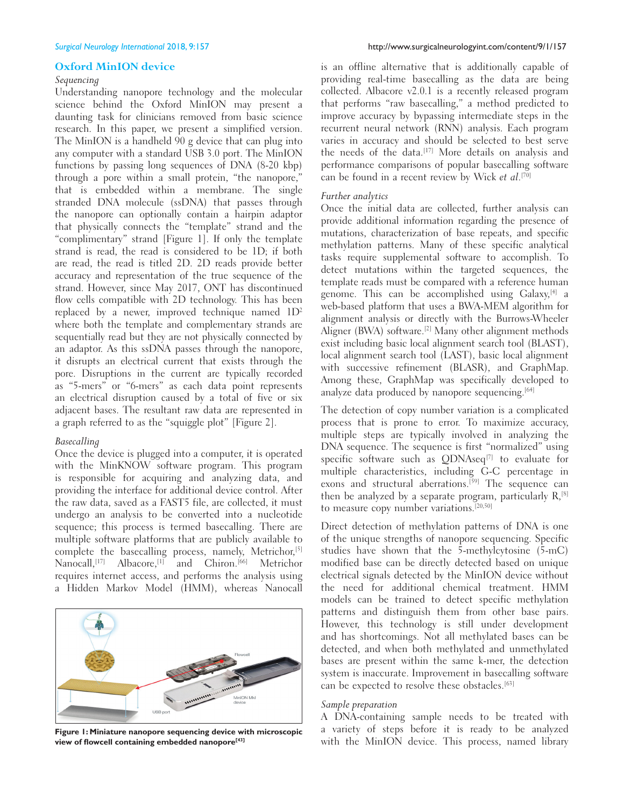#### **Oxford MinION device**

#### *Sequencing*

Understanding nanopore technology and the molecular science behind the Oxford MinION may present a daunting task for clinicians removed from basic science research. In this paper, we present a simplified version. The MinION is a handheld 90 g device that can plug into any computer with a standard USB 3.0 port. The MinION functions by passing long sequences of DNA (8‑20 kbp) through a pore within a small protein, "the nanopore," that is embedded within a membrane. The single stranded DNA molecule (ssDNA) that passes through the nanopore can optionally contain a hairpin adaptor that physically connects the "template" strand and the "complimentary" strand [Figure 1]. If only the template strand is read, the read is considered to be 1D; if both are read, the read is titled 2D. 2D reads provide better accuracy and representation of the true sequence of the strand. However, since May 2017, ONT has discontinued flow cells compatible with 2D technology. This has been replaced by a newer, improved technique named  $1D^2$ where both the template and complementary strands are sequentially read but they are not physically connected by an adaptor. As this ssDNA passes through the nanopore, it disrupts an electrical current that exists through the pore. Disruptions in the current are typically recorded as "5‑mers" or "6‑mers" as each data point represents an electrical disruption caused by a total of five or six adjacent bases. The resultant raw data are represented in a graph referred to as the "squiggle plot" [Figure 2].

#### *Basecalling*

Once the device is plugged into a computer, it is operated with the MinKNOW software program. This program is responsible for acquiring and analyzing data, and providing the interface for additional device control. After the raw data, saved as a FAST5 file, are collected, it must undergo an analysis to be converted into a nucleotide sequence; this process is termed basecalling. There are multiple software platforms that are publicly available to complete the basecalling process, namely, Metrichor,<sup>[5]</sup> Nanocall,<sup>[17]</sup> Albacore,<sup>[1]</sup> and Chiron.<sup>[66]</sup> Metrichor requires internet access, and performs the analysis using a Hidden Markov Model (HMM), whereas Nanocall



**Figure 1: Miniature nanopore sequencing device with microscopic view of flowcell containing embedded nanopore[43]**

is an offline alternative that is additionally capable of providing real-time basecalling as the data are being collected. Albacore v2.0.1 is a recently released program that performs "raw basecalling," a method predicted to improve accuracy by bypassing intermediate steps in the recurrent neural network (RNN) analysis. Each program varies in accuracy and should be selected to best serve the needs of the data.[17] More details on analysis and performance comparisons of popular basecalling software can be found in a recent review by Wick *et al*.[70]

#### *Further analytics*

Once the initial data are collected, further analysis can provide additional information regarding the presence of mutations, characterization of base repeats, and specific methylation patterns. Many of these specific analytical tasks require supplemental software to accomplish. To detect mutations within the targeted sequences, the template reads must be compared with a reference human genome. This can be accomplished using Galaxy,[4] a web-based platform that uses a BWA-MEM algorithm for alignment analysis or directly with the Burrows‑Wheeler Aligner (BWA) software.<sup>[2]</sup> Many other alignment methods exist including basic local alignment search tool (BLAST), local alignment search tool (LAST), basic local alignment with successive refinement (BLASR), and GraphMap. Among these, GraphMap was specifically developed to analyze data produced by nanopore sequencing.<sup>[64]</sup>

The detection of copy number variation is a complicated process that is prone to error. To maximize accuracy, multiple steps are typically involved in analyzing the DNA sequence. The sequence is first "normalized" using specific software such as QDNAseq<sup>[7]</sup> to evaluate for multiple characteristics, including G‑C percentage in exons and structural aberrations.<sup>[59]</sup> The sequence can then be analyzed by a separate program, particularly  $R$ <sup>[8]</sup> to measure copy number variations.[20,50]

Direct detection of methylation patterns of DNA is one of the unique strengths of nanopore sequencing. Specific studies have shown that the 5‑methylcytosine (5‑mC) modified base can be directly detected based on unique electrical signals detected by the MinION device without the need for additional chemical treatment. HMM models can be trained to detect specific methylation patterns and distinguish them from other base pairs. However, this technology is still under development and has shortcomings. Not all methylated bases can be detected, and when both methylated and unmethylated bases are present within the same k-mer, the detection system is inaccurate. Improvement in basecalling software can be expected to resolve these obstacles.[63]

### *Sample preparation*

A DNA‑containing sample needs to be treated with a variety of steps before it is ready to be analyzed with the MinION device. This process, named library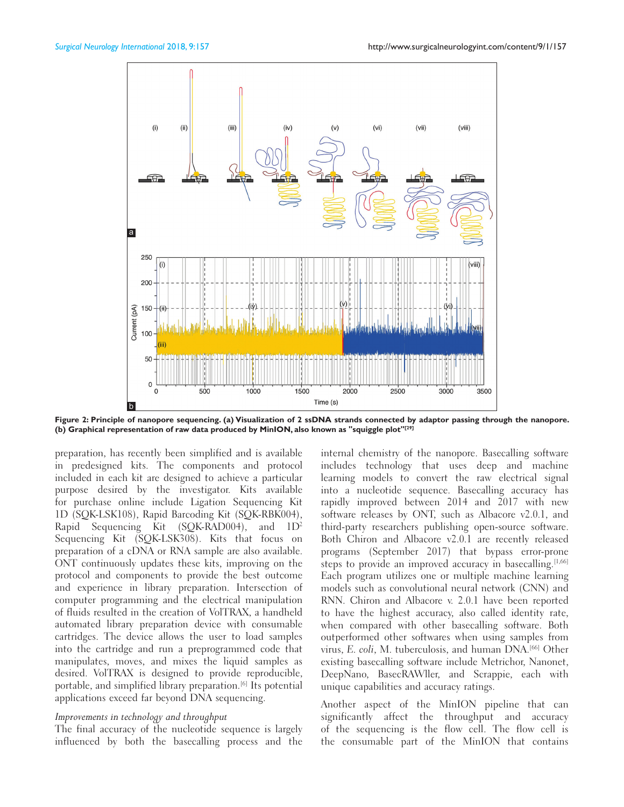

**Figure 2: Principle of nanopore sequencing. (a) Visualization of 2 ssDNA strands connected by adaptor passing through the nanopore. (b) Graphical representation of raw data produced by MinION, also known as "squiggle plot"[29]**

preparation, has recently been simplified and is available in predesigned kits. The components and protocol included in each kit are designed to achieve a particular purpose desired by the investigator. Kits available for purchase online include Ligation Sequencing Kit 1D (SQK‑LSK108), Rapid Barcoding Kit (SQK‑RBK004), Rapid Sequencing Kit (SQK-RAD004), and  $1D^2$ Sequencing Kit (SQK-LSK308). Kits that focus on preparation of a cDNA or RNA sample are also available. ONT continuously updates these kits, improving on the protocol and components to provide the best outcome and experience in library preparation. Intersection of computer programming and the electrical manipulation of fluids resulted in the creation of VolTRAX, a handheld automated library preparation device with consumable cartridges. The device allows the user to load samples into the cartridge and run a preprogrammed code that manipulates, moves, and mixes the liquid samples as desired. VolTRAX is designed to provide reproducible, portable, and simplified library preparation.[6] Its potential applications exceed far beyond DNA sequencing.

#### *Improvements in technology and throughput*

The final accuracy of the nucleotide sequence is largely influenced by both the basecalling process and the internal chemistry of the nanopore. Basecalling software includes technology that uses deep and machine learning models to convert the raw electrical signal into a nucleotide sequence. Basecalling accuracy has rapidly improved between 2014 and 2017 with new software releases by ONT, such as Albacore v2.0.1, and third-party researchers publishing open-source software. Both Chiron and Albacore v2.0.1 are recently released programs (September 2017) that bypass error‑prone steps to provide an improved accuracy in basecalling.  $[1,66]$ Each program utilizes one or multiple machine learning models such as convolutional neural network (CNN) and RNN. Chiron and Albacore v. 2.0.1 have been reported to have the highest accuracy, also called identity rate, when compared with other basecalling software. Both outperformed other softwares when using samples from virus, E. coli, M. tuberculosis, and human DNA.<sup>[66]</sup> Other existing basecalling software include Metrichor, Nanonet, DeepNano, BasecRAWller, and Scrappie, each with unique capabilities and accuracy ratings.

Another aspect of the MinION pipeline that can significantly affect the throughput and accuracy of the sequencing is the flow cell. The flow cell is the consumable part of the MinION that contains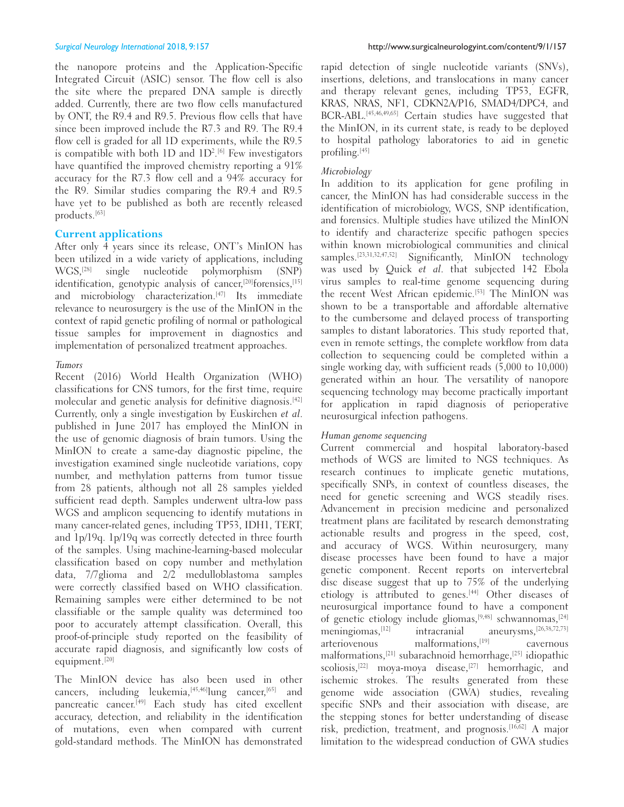the nanopore proteins and the Application‑Specific Integrated Circuit (ASIC) sensor. The flow cell is also the site where the prepared DNA sample is directly added. Currently, there are two flow cells manufactured by ONT, the R9.4 and R9.5. Previous flow cells that have since been improved include the R7.3 and R9. The R9.4 flow cell is graded for all 1D experiments, while the R9.5 is compatible with both 1D and 1D2 . [6] Few investigators have quantified the improved chemistry reporting a 91% accuracy for the R7.3 flow cell and a 94% accuracy for the R9. Similar studies comparing the R9.4 and R9.5 have yet to be published as both are recently released products.[63]

# **Current applications**

After only  $\hat{A}$  years since its release, ONT's MinION has been utilized in a wide variety of applications, including WGS,[28] single nucleotide polymorphism (SNP) identification, genotypic analysis of cancer,<sup>[20]</sup>forensics,<sup>[15]</sup> and microbiology characterization.<sup>[47]</sup> Its immediate relevance to neurosurgery is the use of the MinION in the context of rapid genetic profiling of normal or pathological tissue samples for improvement in diagnostics and implementation of personalized treatment approaches.

### *Tumors*

Recent (2016) World Health Organization (WHO) classifications for CNS tumors, for the first time, require molecular and genetic analysis for definitive diagnosis.[42] Currently, only a single investigation by Euskirchen et al. published in June 2017 has employed the MinION in the use of genomic diagnosis of brain tumors. Using the MinION to create a same‑day diagnostic pipeline, the investigation examined single nucleotide variations, copy number, and methylation patterns from tumor tissue from 28 patients, although not all 28 samples yielded sufficient read depth. Samples underwent ultra-low pass WGS and amplicon sequencing to identify mutations in many cancer-related genes, including TP53, IDH1, TERT, and 1p/19q. 1p/19q was correctly detected in three fourth of the samples. Using machine‑learning‑based molecular classification based on copy number and methylation data, 7/7glioma and 2/2 medulloblastoma samples were correctly classified based on WHO classification. Remaining samples were either determined to be not classifiable or the sample quality was determined too poor to accurately attempt classification. Overall, this proof-of-principle study reported on the feasibility of accurate rapid diagnosis, and significantly low costs of equipment.[20]

The MinION device has also been used in other cancers, including leukemia, <a>[45,46]</a>lung cancer,<a>[65]</a> and pancreatic cancer.[49] Each study has cited excellent accuracy, detection, and reliability in the identification of mutations, even when compared with current gold‑standard methods. The MinION has demonstrated

rapid detection of single nucleotide variants (SNVs), insertions, deletions, and translocations in many cancer and therapy relevant genes, including TP53, EGFR, KRAS, NRAS, NF1, CDKN2A/P16, SMAD4/DPC4, and BCR‑ABL.[45,46,49,65] Certain studies have suggested that the MinION, in its current state, is ready to be deployed to hospital pathology laboratories to aid in genetic profiling.[45]

# *Microbiology*

In addition to its application for gene profiling in cancer, the MinION has had considerable success in the identification of microbiology, WGS, SNP identification, and forensics. Multiple studies have utilized the MinION to identify and characterize specific pathogen species within known microbiological communities and clinical samples.[23,31,32,47,52] Significantly, MinION technology was used by Quick et al. that subjected 142 Ebola virus samples to real-time genome sequencing during the recent West African epidemic.<sup>[53]</sup> The MinION was shown to be a transportable and affordable alternative to the cumbersome and delayed process of transporting samples to distant laboratories. This study reported that, even in remote settings, the complete workflow from data collection to sequencing could be completed within a single working day, with sufficient reads (5,000 to 10,000) generated within an hour. The versatility of nanopore sequencing technology may become practically important for application in rapid diagnosis of perioperative neurosurgical infection pathogens.

### *Human genome sequencing*

Current commercial and hospital laboratory-based methods of WGS are limited to NGS techniques. As research continues to implicate genetic mutations, specifically SNPs, in context of countless diseases, the need for genetic screening and WGS steadily rises. Advancement in precision medicine and personalized treatment plans are facilitated by research demonstrating actionable results and progress in the speed, cost, and accuracy of WGS. Within neurosurgery, many disease processes have been found to have a major genetic component. Recent reports on intervertebral disc disease suggest that up to 75% of the underlying etiology is attributed to genes.<sup>[44]</sup> Other diseases of neurosurgical importance found to have a component of genetic etiology include gliomas, [9,48] schwannomas, [24]<br>meningiomas, [12] intracranial aneurysms, [26,38,72,73]  $meningiomas,$ <sup>[12]</sup> intracranial arteriovenous malformations,[19] cavernous malformations,[21] subarachnoid hemorrhage,[25] idiopathic scoliosis,<sup>[22]</sup> moya-moya disease,<sup>[27]</sup> hemorrhagic, and ischemic strokes. The results generated from these genome wide association (GWA) studies, revealing specific SNPs and their association with disease, are the stepping stones for better understanding of disease risk, prediction, treatment, and prognosis.[16,62] A major limitation to the widespread conduction of GWA studies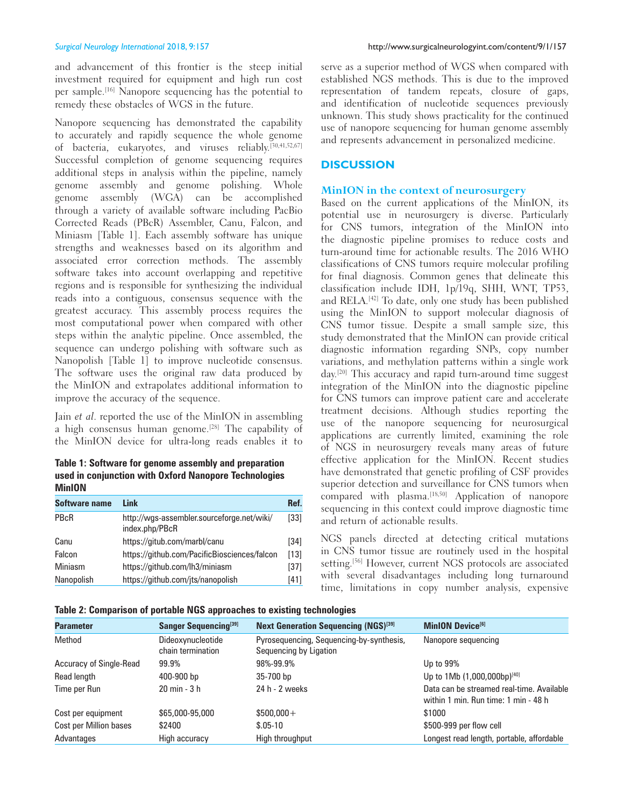and advancement of this frontier is the steep initial investment required for equipment and high run cost per sample.[16] Nanopore sequencing has the potential to remedy these obstacles of WGS in the future.

Nanopore sequencing has demonstrated the capability to accurately and rapidly sequence the whole genome of bacteria, eukaryotes, and viruses reliably.[30,41,52,67] Successful completion of genome sequencing requires additional steps in analysis within the pipeline, namely genome assembly and genome polishing. Whole genome assembly (WGA) can be accomplished through a variety of available software including PacBio Corrected Reads (PBcR) Assembler, Canu, Falcon, and Miniasm [Table 1]. Each assembly software has unique strengths and weaknesses based on its algorithm and associated error correction methods. The assembly software takes into account overlapping and repetitive regions and is responsible for synthesizing the individual reads into a contiguous, consensus sequence with the greatest accuracy. This assembly process requires the most computational power when compared with other steps within the analytic pipeline. Once assembled, the sequence can undergo polishing with software such as Nanopolish [Table 1] to improve nucleotide consensus. The software uses the original raw data produced by the MinION and extrapolates additional information to improve the accuracy of the sequence.

Jain et al. reported the use of the MinION in assembling a high consensus human genome.[28] The capability of the MinION device for ultra‑long reads enables it to

**Table 1: Software for genome assembly and preparation used in conjunction with Oxford Nanopore Technologies MinION**

| <b>Software name</b> | Link                                                         | Ref.   |
|----------------------|--------------------------------------------------------------|--------|
| PBcR                 | http://wqs-assembler.sourceforge.net/wiki/<br>index.php/PBcR | [33]   |
| Canu                 | https://gitub.com/marbl/canu                                 | $[34]$ |
| Falcon               | https://github.com/PacificBiosciences/falcon                 | $[13]$ |
| Miniasm              | https://github.com/lh3/miniasm                               | $[37]$ |
| Nanopolish           | https://github.com/jts/nanopolish                            | [41]   |

serve as a superior method of WGS when compared with established NGS methods. This is due to the improved representation of tandem repeats, closure of gaps, and identification of nucleotide sequences previously unknown. This study shows practicality for the continued use of nanopore sequencing for human genome assembly and represents advancement in personalized medicine.

# **DISCUSSION**

# **MinION in the context of neurosurgery**

Based on the current applications of the MinION, its potential use in neurosurgery is diverse. Particularly for CNS tumors, integration of the MinION into the diagnostic pipeline promises to reduce costs and turn‑around time for actionable results. The 2016 WHO classifications of CNS tumors require molecular profiling for final diagnosis. Common genes that delineate this classification include IDH, 1p/19q, SHH, WNT, TP53, and RELA.[42] To date, only one study has been published using the MinION to support molecular diagnosis of CNS tumor tissue. Despite a small sample size, this study demonstrated that the MinION can provide critical diagnostic information regarding SNPs, copy number variations, and methylation patterns within a single work day.<sup>[20]</sup> This accuracy and rapid turn-around time suggest integration of the MinION into the diagnostic pipeline for CNS tumors can improve patient care and accelerate treatment decisions. Although studies reporting the use of the nanopore sequencing for neurosurgical applications are currently limited, examining the role of NGS in neurosurgery reveals many areas of future effective application for the MinION. Recent studies have demonstrated that genetic profiling of CSF provides superior detection and surveillance for CNS tumors when compared with plasma.<sup>[18,50]</sup> Application of nanopore sequencing in this context could improve diagnostic time and return of actionable results.

NGS panels directed at detecting critical mutations in CNS tumor tissue are routinely used in the hospital setting.<sup>[56]</sup> However, current NGS protocols are associated with several disadvantages including long turnaround time, limitations in copy number analysis, expensive

# **Table 2: Comparison of portable NGS approaches to existing technologies**

| <b>Parameter</b>               | <b>Sanger Sequencing</b> <sup>[39]</sup> | <b>Next Generation Sequencing (NGS)</b> <sup>[39]</sup>            | MinION Device <sup>[6]</sup>                                                      |
|--------------------------------|------------------------------------------|--------------------------------------------------------------------|-----------------------------------------------------------------------------------|
| Method                         | Dideoxynucleotide<br>chain termination   | Pyrosequencing, Sequencing-by-synthesis,<br>Sequencing by Ligation | Nanopore sequencing                                                               |
| <b>Accuracy of Single-Read</b> | 99.9%                                    | 98%-99.9%                                                          | Up to $99\%$                                                                      |
| Read length                    | 400-900 bp                               | $35-700$ bp                                                        | Up to 1Mb (1,000,000bp)[40]                                                       |
| Time per Run                   | 20 min - 3 h                             | 24 h - 2 weeks                                                     | Data can be streamed real-time. Available<br>within 1 min. Run time: 1 min - 48 h |
| Cost per equipment             | \$65,000-95,000                          | $$500,000+$                                                        | \$1000                                                                            |
| <b>Cost per Million bases</b>  | \$2400                                   | $$.05-10$                                                          | \$500-999 per flow cell                                                           |
| Advantages                     | High accuracy                            | High throughput                                                    | Longest read length, portable, affordable                                         |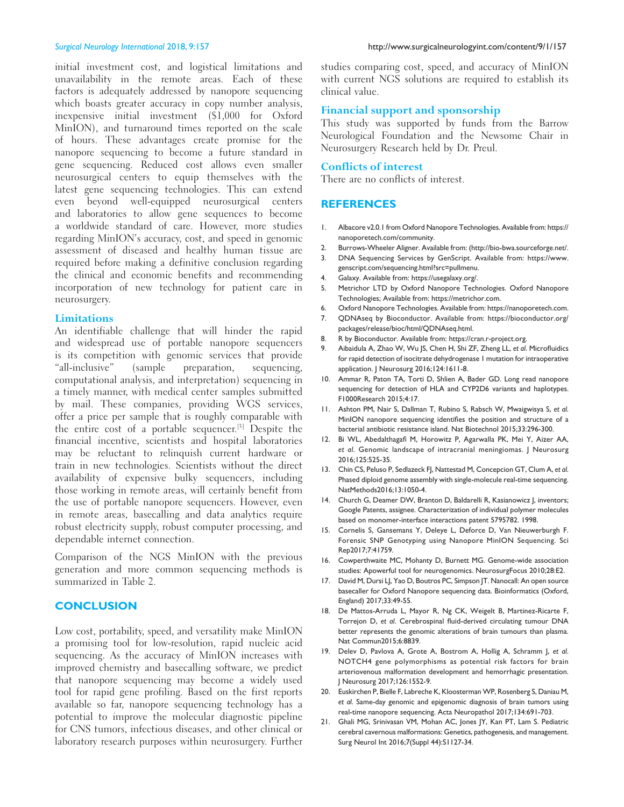initial investment cost, and logistical limitations and unavailability in the remote areas. Each of these factors is adequately addressed by nanopore sequencing which boasts greater accuracy in copy number analysis, inexpensive initial investment (\$1,000 for Oxford MinION), and turnaround times reported on the scale of hours. These advantages create promise for the nanopore sequencing to become a future standard in gene sequencing. Reduced cost allows even smaller neurosurgical centers to equip themselves with the latest gene sequencing technologies. This can extend even beyond well‑equipped neurosurgical centers and laboratories to allow gene sequences to become a worldwide standard of care. However, more studies regarding MinION's accuracy, cost, and speed in genomic assessment of diseased and healthy human tissue are required before making a definitive conclusion regarding the clinical and economic benefits and recommending incorporation of new technology for patient care in neurosurgery.

### **Limitations**

An identifiable challenge that will hinder the rapid and widespread use of portable nanopore sequencers is its competition with genomic services that provide "all‑inclusive" (sample preparation, sequencing, computational analysis, and interpretation) sequencing in a timely manner, with medical center samples submitted by mail. These companies, providing WGS services, offer a price per sample that is roughly comparable with the entire cost of a portable sequencer.[3] Despite the financial incentive, scientists and hospital laboratories may be reluctant to relinquish current hardware or train in new technologies. Scientists without the direct availability of expensive bulky sequencers, including those working in remote areas, will certainly benefit from the use of portable nanopore sequencers. However, even in remote areas, basecalling and data analytics require robust electricity supply, robust computer processing, and dependable internet connection.

Comparison of the NGS MinION with the previous generation and more common sequencing methods is summarized in Table 2.

# **CONCLUSION**

Low cost, portability, speed, and versatility make MinION a promising tool for low-resolution, rapid nucleic acid sequencing. As the accuracy of MinION increases with improved chemistry and basecalling software, we predict that nanopore sequencing may become a widely used tool for rapid gene profiling. Based on the first reports available so far, nanopore sequencing technology has a potential to improve the molecular diagnostic pipeline for CNS tumors, infectious diseases, and other clinical or laboratory research purposes within neurosurgery. Further

studies comparing cost, speed, and accuracy of MinION with current NGS solutions are required to establish its clinical value.

#### **Financial support and sponsorship**

This study was supported by funds from the Barrow Neurological Foundation and the Newsome Chair in Neurosurgery Research held by Dr. Preul.

# **Conflicts of interest**

There are no conflicts of interest.

# **REFERENCES**

- 1. Albacore v2.0.1 from Oxford Nanopore Technologies. Available from: https:// nanoporetech.com/community.
- 2. Burrows-Wheeler Aligner. Available from: (http://bio-bwa.sourceforge.net/.
- 3. DNA Sequencing Services by GenScript. Available from: https://www. genscript.com/sequencing.html?src=pullmenu.
- 4. Galaxy. Available from: https://usegalaxy.org/.
- 5. Metrichor LTD by Oxford Nanopore Technologies. Oxford Nanopore Technologies; Available from: https://metrichor.com.
- 6. Oxford Nanopore Technologies. Available from: https://nanoporetech.com.
- 7. QDNAseq by Bioconductor. Available from: https://bioconductor.org/ packages/release/bioc/html/QDNAseq.html.
- 8. R by Bioconductor. Available from: https://cran.r-project.org.
- 9. Aibaidula A, Zhao W, Wu JS, Chen H, Shi ZF, Zheng LL, *et al*. Microfluidics for rapid detection of isocitrate dehydrogenase 1 mutation for intraoperative application. J Neurosurg 2016;124:1611-8.
- 10. Ammar R, Paton TA, Torti D, Shlien A, Bader GD. Long read nanopore sequencing for detection of HLA and CYP2D6 variants and haplotypes. F1000Research 2015;4:17.
- 11. Ashton PM, Nair S, Dallman T, Rubino S, Rabsch W, Mwaigwisya S, *et al*. MinION nanopore sequencing identifies the position and structure of a bacterial antibiotic resistance island. Nat Biotechnol 2015;33:296-300.
- 12. Bi WL, Abedalthagafi M, Horowitz P, Agarwalla PK, Mei Y, Aizer AA, *et al*. Genomic landscape of intracranial meningiomas. J Neurosurg 2016;125:525-35.
- 13. Chin CS, Peluso P, Sedlazeck FJ, Nattestad M, Concepcion GT, Clum A, *et al*. Phased diploid genome assembly with single-molecule real-time sequencing. NatMethods2016;13:1050-4.
- 14. Church G, Deamer DW, Branton D, Baldarelli R, Kasianowicz J, inventors; Google Patents, assignee. Characterization of individual polymer molecules based on monomer-interface interactions patent 5795782. 1998.
- 15. Cornelis S, Gansemans Y, Deleye L, Deforce D, Van Nieuwerburgh F. Forensic SNP Genotyping using Nanopore MinION Sequencing. Sci Rep2017;7:41759.
- 16. Cowperthwaite MC, Mohanty D, Burnett MG. Genome-wide association studies: Apowerful tool for neurogenomics. NeurosurgFocus 2010;28:E2.
- 17. David M, Dursi LJ, Yao D, Boutros PC, Simpson JT. Nanocall: An open source basecaller for Oxford Nanopore sequencing data. Bioinformatics (Oxford, England) 2017;33:49-55.
- 18. De Mattos-Arruda L, Mayor R, Ng CK, Weigelt B, Martinez-Ricarte F, Torrejon D, *et al*. Cerebrospinal fluid‑derived circulating tumour DNA better represents the genomic alterations of brain tumours than plasma. Nat Commun2015;6:8839.
- 19. Delev D, Pavlova A, Grote A, Bostrom A, Hollig A, Schramm J, *et al*. NOTCH4 gene polymorphisms as potential risk factors for brain arteriovenous malformation development and hemorrhagic presentation. J Neurosurg 2017;126:1552-9.
- 20. Euskirchen P, Bielle F, Labreche K, Kloosterman WP, Rosenberg S, Daniau M, *et al*. Same-day genomic and epigenomic diagnosis of brain tumors using real-time nanopore sequencing. Acta Neuropathol 2017;134:691-703.
- 21. Ghali MG, Srinivasan VM, Mohan AC, Jones JY, Kan PT, Lam S. Pediatric cerebral cavernous malformations: Genetics, pathogenesis, and management. Surg Neurol Int 2016;7(Suppl 44):S1127-34.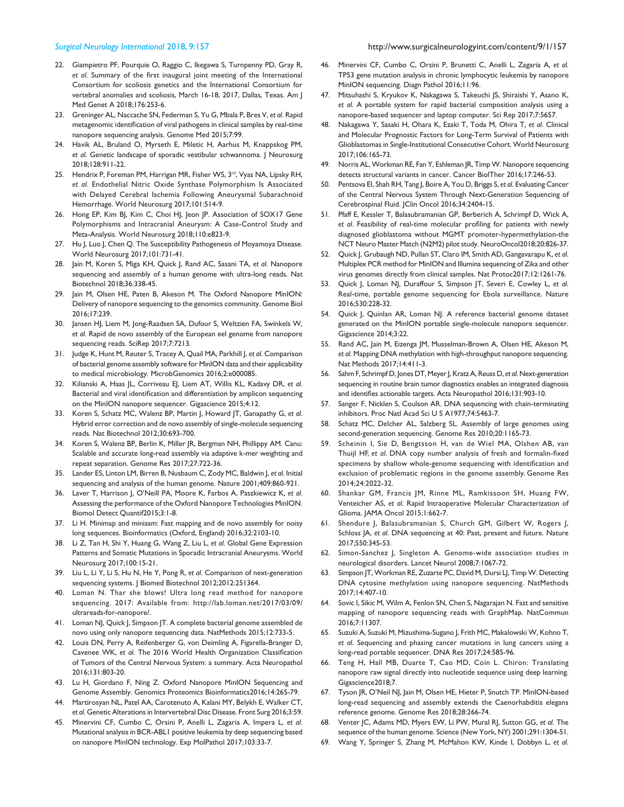- 22. Giampietro PF, Pourquie O, Raggio C, Ikegawa S, Turnpenny PD, Gray R, *et al*. Summary of the first inaugural joint meeting of the International Consortium for scoliosis genetics and the International Consortium for vertebral anomalies and scoliosis, March 16-18, 2017, Dallas, Texas. Am J Med Genet A 2018;176:253-6.
- 23. Greninger AL, Naccache SN, Federman S, Yu G, Mbala P, Bres V, *et al*. Rapid metagenomic identification of viral pathogens in clinical samples by real-time nanopore sequencing analysis. Genome Med 2015;7:99.
- 24. Havik AL, Bruland O, Myrseth E, Miletic H, Aarhus M, Knappskog PM, *et al*. Genetic landscape of sporadic vestibular schwannoma. J Neurosurg 2018;128:911-22.
- 25. Hendrix P, Foreman PM, Harrigan MR, Fisher WS, 3rd, Vyas NA, Lipsky RH, *et al*. Endothelial Nitric Oxide Synthase Polymorphism Is Associated with Delayed Cerebral Ischemia Following Aneurysmal Subarachnoid Hemorrhage. World Neurosurg 2017;101:514-9.
- 26. Hong EP, Kim BJ, Kim C, Choi HJ, Jeon JP. Association of SOX17 Gene Polymorphisms and Intracranial Aneurysm: A Case-Control Study and Meta-Analysis. World Neurosurg 2018;110:e823-9.
- 27. Hu J, Luo J, Chen Q. The Susceptibility Pathogenesis of Moyamoya Disease. World Neurosurg 2017;101:731-41.
- 28. Jain M, Koren S, Miga KH, Quick J, Rand AC, Sasani TA, *et al*. Nanopore sequencing and assembly of a human genome with ultra-long reads. Nat Biotechnol 2018;36:338-45.
- 29. Jain M, Olsen HE, Paten B, Akeson M. The Oxford Nanopore MinION: Delivery of nanopore sequencing to the genomics community. Genome Biol 2016;17:239.
- 30. Jansen HJ, Liem M, Jong‑Raadsen SA, Dufour S, Weltzien FA, Swinkels W, *et al*. Rapid de novo assembly of the European eel genome from nanopore sequencing reads. SciRep 2017;7:7213.
- 31. Judge K, Hunt M, Reuter S, Tracey A, Quail MA, Parkhill J, *et al*. Comparison of bacterial genome assembly software for MinION data and their applicability to medical microbiology. MicrobGenomics 2016;2:e000085.
- 32. Kilianski A, Haas JL, Corriveau EJ, Liem AT, Willis KL, Kadavy DR, *et al*. Bacterial and viral identification and differentiation by amplicon sequencing on the MinION nanopore sequencer. Gigascience 2015;4:12.
- 33. Koren S, Schatz MC, Walenz BP, Martin J, Howard JT, Ganapathy G, *et al*. Hybrid error correction and de novo assembly of single-molecule sequencing reads. Nat Biotechnol 2012;30:693-700.
- 34. Koren S, Walenz BP, Berlin K, Miller JR, Bergman NH, Phillippy AM. Canu: Scalable and accurate long-read assembly via adaptive k-mer weighting and repeat separation. Genome Res 2017;27:722-36.
- 35. Lander ES, Linton LM, Birren B, Nusbaum C, Zody MC, Baldwin J, *et al*. Initial sequencing and analysis of the human genome. Nature 2001;409:860-921.
- 36. Laver T, Harrison J, O'Neill PA, Moore K, Farbos A, Paszkiewicz K, *et al*. Assessing the performance of the Oxford Nanopore Technologies MinION. Biomol Detect Quantif2015;3:1-8.
- 37. Li H. Minimap and miniasm: Fast mapping and de novo assembly for noisy long sequences. Bioinformatics (Oxford, England) 2016;32:2103-10.
- 38. Li Z, Tan H, Shi Y, Huang G, Wang Z, Liu L, *et al*. Global Gene Expression Patterns and Somatic Mutations in Sporadic Intracranial Aneurysms. World Neurosurg 2017;100:15-21.
- 39. Liu L, Li Y, Li S, Hu N, He Y, Pong R, *et al*. Comparison of next-generation sequencing systems. J Biomed Biotechnol 2012;2012:251364.
- 40. Loman N. Thar she blows! Ultra long read method for nanopore sequencing. 2017: Available from: http://lab.loman.net/2017/03/09/ ultrareads-for-nanopore/.
- 41. Loman NJ, Quick J, Simpson JT. A complete bacterial genome assembled de novo using only nanopore sequencing data. NatMethods 2015;12:733-5.
- 42. Louis DN, Perry A, Reifenberger G, von Deimling A, Figarella-Branger D, Cavenee WK, *et al*. The 2016 World Health Organization Classification of Tumors of the Central Nervous System: a summary. Acta Neuropathol 2016;131:803-20.
- 43. Lu H, Giordano F, Ning Z. Oxford Nanopore MinION Sequencing and Genome Assembly. Genomics Proteomics Bioinformatics2016;14:265-79.
- 44. Martirosyan NL, Patel AA, Carotenuto A, Kalani MY, Belykh E, Walker CT, *et al*. Genetic Alterations in Intervertebral Disc Disease. Front Surg 2016;3:59.
- 45. Minervini CF, Cumbo C, Orsini P, Anelli L, Zagaria A, Impera L, *et al*. Mutational analysis in BCR-ABL1 positive leukemia by deep sequencing based on nanopore MinION technology. Exp MolPathol 2017;103:33-7.
- 46. Minervini CF, Cumbo C, Orsini P, Brunetti C, Anelli L, Zagaria A, *et al*. TP53 gene mutation analysis in chronic lymphocytic leukemia by nanopore MinION sequencing. Diagn Pathol 2016;11:96.
- 47. Mitsuhashi S, Kryukov K, Nakagawa S, Takeuchi JS, Shiraishi Y, Asano K, *et al*. A portable system for rapid bacterial composition analysis using a nanopore-based sequencer and laptop computer. Sci Rep 2017;7:5657.
- 48. Nakagawa Y, Sasaki H, Ohara K, Ezaki T, Toda M, Ohira T, *et al*. Clinical and Molecular Prognostic Factors for Long-Term Survival of Patients with Glioblastomas in Single-Institutional Consecutive Cohort. World Neurosurg 2017;106:165-73.
- 49. Norris AL, Workman RE, Fan Y, Eshleman JR, Timp W. Nanopore sequencing detects structural variants in cancer. Cancer BiolTher 2016;17:246-53.
- 50. Pentsova EI, Shah RH, Tang J, Boire A, You D, Briggs S, *et al*. Evaluating Cancer of the Central Nervous System Through Next-Generation Sequencing of Cerebrospinal Fluid. JClin Oncol 2016;34:2404-15.
- 51. Pfaff E, Kessler T, Balasubramanian GP, Berberich A, Schrimpf D, Wick A, *et al*. Feasibility of real‑time molecular profiling for patients with newly diagnosed glioblastoma without MGMT promoter-hypermethylation-the NCT Neuro Master Match (N2M2) pilot study. NeuroOncol2018;20:826-37.
- 52. Quick J, Grubaugh ND, Pullan ST, Claro IM, Smith AD, Gangavarapu K, *et al*. Multiplex PCR method for MinION and Illumina sequencing of Zika and other virus genomes directly from clinical samples. Nat Protoc2017;12:1261-76.
- 53. Quick J, Loman NJ, Duraffour S, Simpson JT, Severi E, Cowley L, *et al*. Real-time, portable genome sequencing for Ebola surveillance. Nature 2016;530:228-32.
- 54. Quick J, Quinlan AR, Loman NJ. A reference bacterial genome dataset generated on the MinION portable single-molecule nanopore sequencer. Gigascience 2014;3:22.
- 55. Rand AC, Jain M, Eizenga JM, Musselman‑Brown A, Olsen HE, Akeson M, *et al*. Mapping DNA methylation with high-throughput nanopore sequencing. Nat Methods 2017;14:411-3.
- Sahm F, Schrimpf D, Jones DT, Meyer J, Kratz A, Reuss D, *et al.* Next-generation sequencing in routine brain tumor diagnostics enables an integrated diagnosis and identifies actionable targets. Acta Neuropathol 2016;131:903‑10.
- 57. Sanger F, Nicklen S, Coulson AR. DNA sequencing with chain-terminating inhibitors. Proc Natl Acad Sci U S A1977;74:5463-7.
- 58. Schatz MC, Delcher AL, Salzberg SL. Assembly of large genomes using second-generation sequencing. Genome Res 2010;20:1165-73.
- Scheinin I, Sie D, Bengtsson H, van de Wiel MA, Olshen AB, van Thuijl HF, *et al*. DNA copy number analysis of fresh and formalin‑fixed specimens by shallow whole‑genome sequencing with identification and exclusion of problematic regions in the genome assembly. Genome Res 2014;24:2022-32.
- 60. Shankar GM, Francis JM, Rinne ML, Ramkissoon SH, Huang FW, Venteicher AS, *et al*. Rapid Intraoperative Molecular Characterization of Glioma. JAMA Oncol 2015;1:662-7.
- 61. Shendure J, Balasubramanian S, Church GM, Gilbert W, Rogers J, Schloss JA, *et al*. DNA sequencing at 40: Past, present and future. Nature 2017;550:345-53.
- 62. Simon‑Sanchez J, Singleton A. Genome‑wide association studies in neurological disorders. Lancet Neurol 2008;7:1067-72.
- 63. Simpson JT, Workman RE, Zuzarte PC, David M, Dursi LJ, Timp W. Detecting DNA cytosine methylation using nanopore sequencing. NatMethods 2017;14:407-10.
- 64. Sovic I, Sikic M, Wilm A, Fenlon SN, Chen S, Nagarajan N. Fast and sensitive mapping of nanopore sequencing reads with GraphMap. NatCommun 2016;7:11307.
- 65. Suzuki A, Suzuki M, Mizushima‑Sugano J, Frith MC, Makalowski W, Kohno T, *et al*. Sequencing and phasing cancer mutations in lung cancers using a long-read portable sequencer. DNA Res 2017;24:585-96.
- 66. Teng H, Hall MB, Duarte T, Cao MD, Coin L. Chiron: Translating nanopore raw signal directly into nucleotide sequence using deep learning. Gigascience2018;7.
- 67. Tyson JR, O'Neil NJ, Jain M, Olsen HE, Hieter P, Snutch TP. MinION-based long-read sequencing and assembly extends the Caenorhabditis elegans reference genome. Genome Res 2018;28:266-74.
- 68. Venter JC, Adams MD, Myers EW, Li PW, Mural RJ, Sutton GG, *et al*. The sequence of the human genome. Science (New York, NY) 2001;291:1304-51.
- 69. Wang Y, Springer S, Zhang M, McMahon KW, Kinde I, Dobbyn L, *et al*.